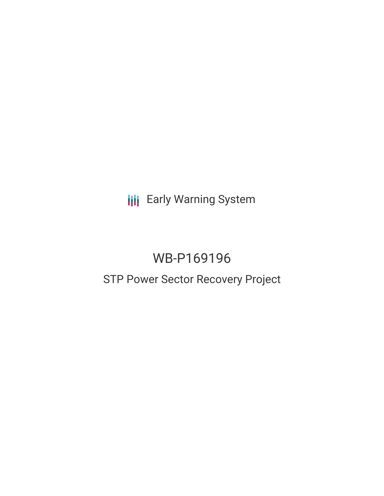**III** Early Warning System

# WB-P169196

## STP Power Sector Recovery Project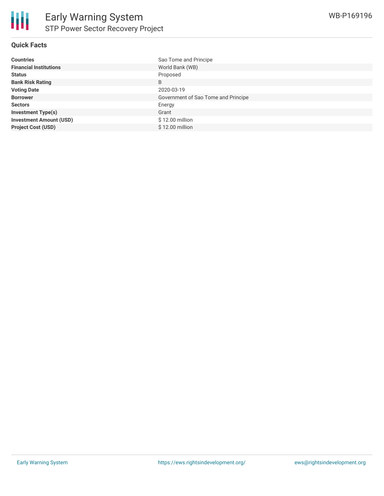#### **Quick Facts**

| <b>Countries</b>               | Sao Tome and Principe               |
|--------------------------------|-------------------------------------|
| <b>Financial Institutions</b>  | World Bank (WB)                     |
| <b>Status</b>                  | Proposed                            |
| <b>Bank Risk Rating</b>        | B                                   |
| <b>Voting Date</b>             | 2020-03-19                          |
| <b>Borrower</b>                | Government of Sao Tome and Principe |
| <b>Sectors</b>                 | Energy                              |
| <b>Investment Type(s)</b>      | Grant                               |
| <b>Investment Amount (USD)</b> | $$12.00$ million                    |
| <b>Project Cost (USD)</b>      | $$12.00$ million                    |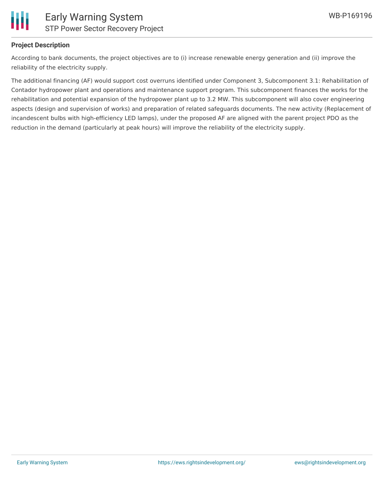

#### **Project Description**

According to bank documents, the project objectives are to (i) increase renewable energy generation and (ii) improve the reliability of the electricity supply.

The additional financing (AF) would support cost overruns identified under Component 3, Subcomponent 3.1: Rehabilitation of Contador hydropower plant and operations and maintenance support program. This subcomponent finances the works for the rehabilitation and potential expansion of the hydropower plant up to 3.2 MW. This subcomponent will also cover engineering aspects (design and supervision of works) and preparation of related safeguards documents. The new activity (Replacement of incandescent bulbs with high-efficiency LED lamps), under the proposed AF are aligned with the parent project PDO as the reduction in the demand (particularly at peak hours) will improve the reliability of the electricity supply.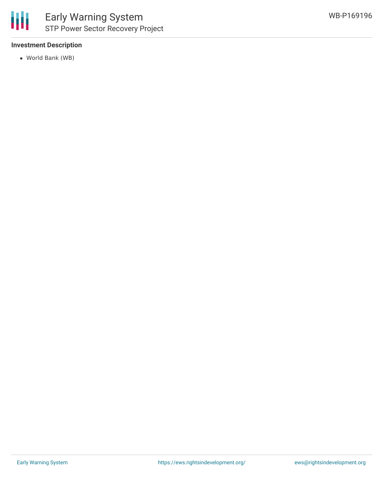

#### **Investment Description**

World Bank (WB)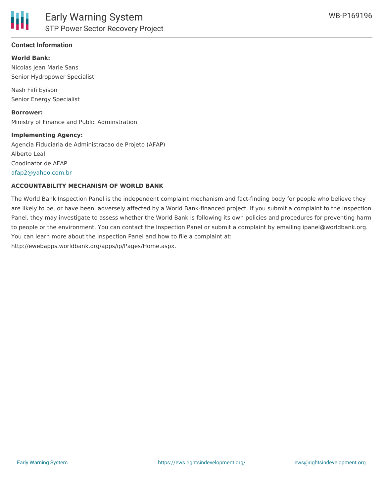#### **Contact Information**

#### **World Bank:**

Nicolas Jean Marie Sans Senior Hydropower Specialist

Nash Fiifi Eyison Senior Energy Specialist

**Borrower:** Ministry of Finance and Public Adminstration

#### **Implementing Agency:**

Agencia Fiduciaria de Administracao de Projeto (AFAP) Alberto Leal Coodinator de AFAP [afap2@yahoo.com.br](mailto:afap2@yahoo.com.br)

#### **ACCOUNTABILITY MECHANISM OF WORLD BANK**

The World Bank Inspection Panel is the independent complaint mechanism and fact-finding body for people who believe they are likely to be, or have been, adversely affected by a World Bank-financed project. If you submit a complaint to the Inspection Panel, they may investigate to assess whether the World Bank is following its own policies and procedures for preventing harm to people or the environment. You can contact the Inspection Panel or submit a complaint by emailing ipanel@worldbank.org. You can learn more about the Inspection Panel and how to file a complaint at: http://ewebapps.worldbank.org/apps/ip/Pages/Home.aspx.